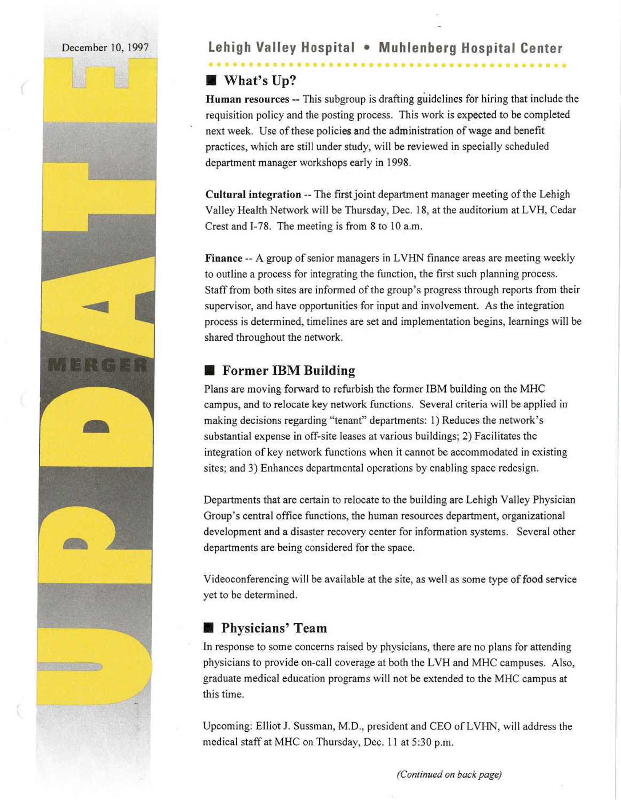## December 10, 1997 **Lehigh Valley Hospital • Muhlenberg Hospital Center**

# **What's Up?**

Human resources -- This subgroup is drafting guidelines for hiring that include the requisition policy and the posting process. This work is expected to be completed next week. Use of these policies and the administration of wage and benefit practices, which are still under study, will be reviewed in specially scheduled department manager workshops early in 1998.

Cultural integration -- The first joint department manager meeting of the Lehigh Valley Health Network will be Thursday, Dec. 18, at the auditorium at LVH, Cedar Crest and I-78. The meeting is from 8 to 10 a.m.

Finance -- A group of senior managers in LVHN finance areas are meeting weekly to outline a process for integrating the function, the first such planning process. Staff from both sites are informed of the group's progress through reports from their supervisor, and have opportunities for input and involvement. As the integration process is determined, timelines are set and implementation begins, learnings will be shared throughout the network.

## **Former IBM Building**

Plans are moving forward to refurbish the former IBM building on the MHC campus, and to relocate key network functions. Several criteria will be applied in making decisions regarding "tenant" departments: 1) Reduces the network's substantial expense in off-site leases at various buildings; 2) Facilitates the integration of key network functions when it cannot be accommodated in existing sites; and 3) Enhances departmental operations by enabling space redesign.

Departments that are certain to relocate to the building are Lehigh Valley Physician Group's central office functions, the human resources department, organizational development and a disaster recovery center for information systems. Several other departments are being considered for the space.

Videoconferencing will be available at the site, as well as some type of food service yet to be determined.

## *A* Physicians' Team

In response to some concerns raised by physicians, there are no plans for attending physicians to provide on-call coverage at both the LVH and MHC campuses. Also, graduate medical education programs will not be extended to the MHC campus at this time.

Upcoming: Elliot J. Sussman, M.D., president and CEO of LVHN, will address the medical staff at MHC on Thursday, Dec. 11 at 5:30 p.m.

*(Continued on back page)*